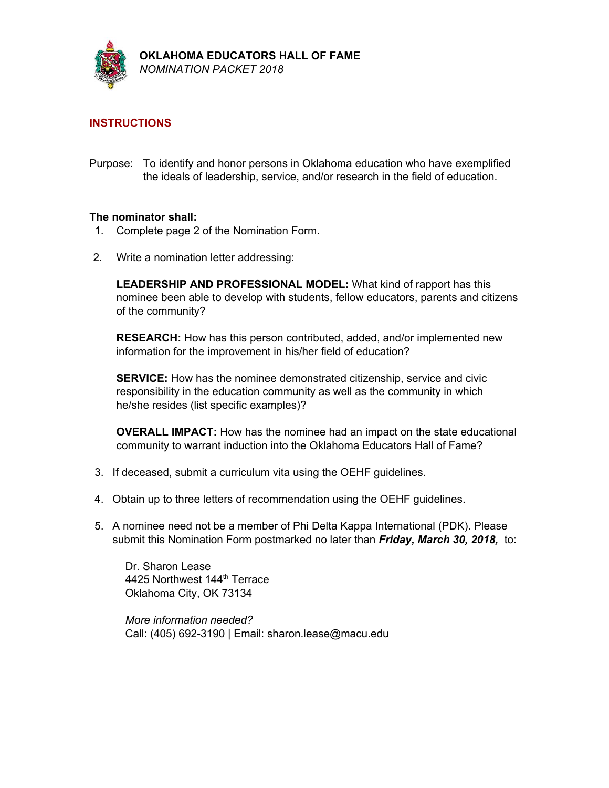

# **INSTRUCTIONS**

Purpose: To identify and honor persons in Oklahoma education who have exemplified the ideals of leadership, service, and/or research in the field of education.

#### **The nominator shall:**

- 1. Complete page 2 of the Nomination Form.
- 2. Write a nomination letter addressing:

**LEADERSHIP AND PROFESSIONAL MODEL:** What kind of rapport has this nominee been able to develop with students, fellow educators, parents and citizens of the community?

**RESEARCH:** How has this person contributed, added, and/or implemented new information for the improvement in his/her field of education?

**SERVICE:** How has the nominee demonstrated citizenship, service and civic responsibility in the education community as well as the community in which he/she resides (list specific examples)?

**OVERALL IMPACT:** How has the nominee had an impact on the state educational community to warrant induction into the Oklahoma Educators Hall of Fame?

- 3. If deceased, submit a curriculum vita using the OEHF guidelines.
- 4. Obtain up to three letters of recommendation using the OEHF guidelines.
- 5. A nominee need not be a member of Phi Delta Kappa International (PDK). Please submit this Nomination Form postmarked no later than *Friday, March 30, 2018,* to:

Dr. Sharon Lease 4425 Northwest 144<sup>th</sup> Terrace Oklahoma City, OK 73134

*More information needed?* Call: (405) 692-3190 | Email: sharon.lease@macu.edu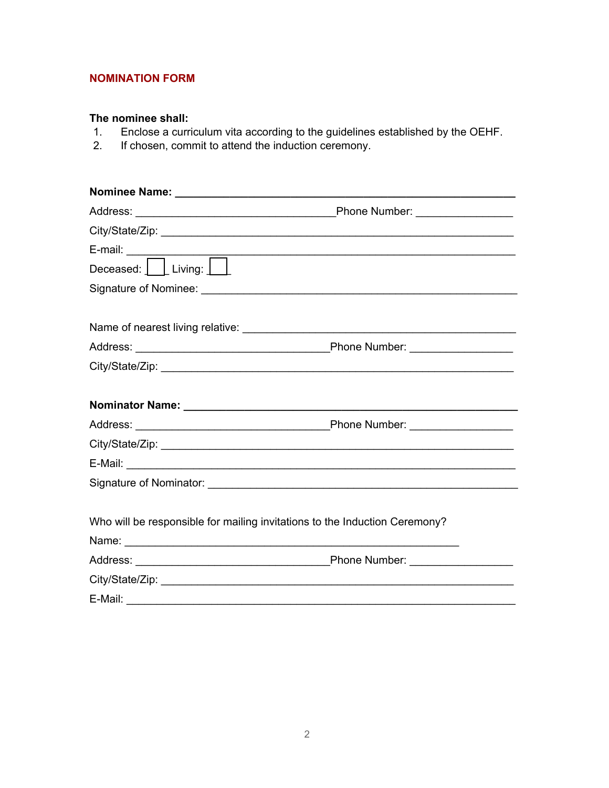## **NOMINATION FORM**

# **The nominee shall:**

- 1. Enclose a curriculum vita according to the guidelines established by the OEHF.
- 2. If chosen, commit to attend the induction ceremony.

|                                                                            | E-mail:<br>Deceased: <u>Deceased: Univing: Deceased: Alixing: Deceased: 2001</u> |
|----------------------------------------------------------------------------|----------------------------------------------------------------------------------|
| Signature of Nominee: National Contract of Signature of Nominee:           |                                                                                  |
|                                                                            |                                                                                  |
|                                                                            |                                                                                  |
|                                                                            |                                                                                  |
|                                                                            |                                                                                  |
|                                                                            |                                                                                  |
|                                                                            |                                                                                  |
|                                                                            |                                                                                  |
|                                                                            |                                                                                  |
| Who will be responsible for mailing invitations to the Induction Ceremony? |                                                                                  |
|                                                                            |                                                                                  |
|                                                                            |                                                                                  |
|                                                                            |                                                                                  |
|                                                                            |                                                                                  |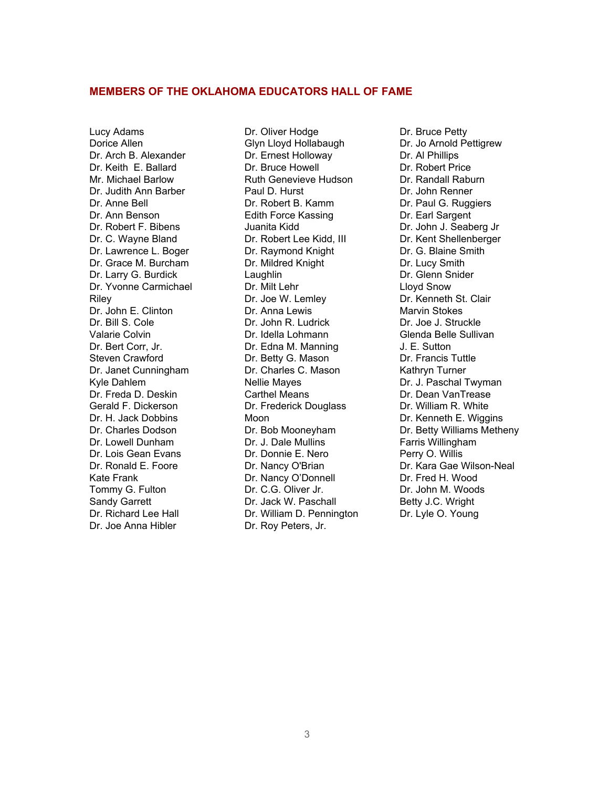#### **MEMBERS OF THE OKLAHOMA EDUCATORS HALL OF FAME**

Lucy Adams Dorice Allen Dr. Arch B. Alexander Dr. Keith E. Ballard Mr. Michael Barlow Dr. Judith Ann Barber Dr. Anne Bell Dr. Ann Benson Dr. Robert F. Bibens Dr. C. Wayne Bland Dr. Lawrence L. Boger Dr. Grace M. Burcham Dr. Larry G. Burdick Dr. Yvonne Carmichael Riley Dr. John E. Clinton Dr. Bill S. Cole Valarie Colvin Dr. Bert Corr, Jr. Steven Crawford Dr. Janet Cunningham Kyle Dahlem Dr. Freda D. Deskin Gerald F. Dickerson Dr. H. Jack Dobbins Dr. Charles Dodson Dr. Lowell Dunham Dr. Lois Gean Evans Dr. Ronald E. Foore Kate Frank Tommy G. Fulton Sandy Garrett Dr. Richard Lee Hall Dr. Joe Anna Hibler

Dr. Oliver Hodge Glyn Lloyd Hollabaugh Dr. Ernest Holloway Dr. Bruce Howell Ruth Genevieve Hudson Paul D. Hurst Dr. Robert B. Kamm Edith Force Kassing Juanita Kidd Dr. Robert Lee Kidd, III Dr. Raymond Knight Dr. Mildred Knight Laughlin Dr. Milt Lehr Dr. Joe W. Lemley Dr. Anna Lewis Dr. John R. Ludrick Dr. Idella Lohmann Dr. Edna M. Manning Dr. Betty G. Mason Dr. Charles C. Mason Nellie Mayes Carthel Means Dr. Frederick Douglass Moon Dr. Bob Mooneyham Dr. J. Dale Mullins Dr. Donnie E. Nero Dr. Nancy O'Brian Dr. Nancy O'Donnell Dr. C.G. Oliver Jr. Dr. Jack W. Paschall Dr. William D. Pennington Dr. Roy Peters, Jr.

Dr. Bruce Petty Dr. Jo Arnold Pettigrew Dr. Al Phillips Dr. Robert Price Dr. Randall Raburn Dr. John Renner Dr. Paul G. Ruggiers Dr. Earl Sargent Dr. John J. Seaberg Jr Dr. Kent Shellenberger Dr. G. Blaine Smith Dr. Lucy Smith Dr. Glenn Snider Lloyd Snow Dr. Kenneth St. Clair Marvin Stokes Dr. Joe J. Struckle Glenda Belle Sullivan J. E. Sutton Dr. Francis Tuttle Kathryn Turner Dr. J. Paschal Twyman Dr. Dean VanTrease Dr. William R. White Dr. Kenneth E. Wiggins Dr. Betty Williams Metheny Farris Willingham Perry O. Willis Dr. Kara Gae Wilson-Neal Dr. Fred H. Wood Dr. John M. Woods Betty J.C. Wright Dr. Lyle O. Young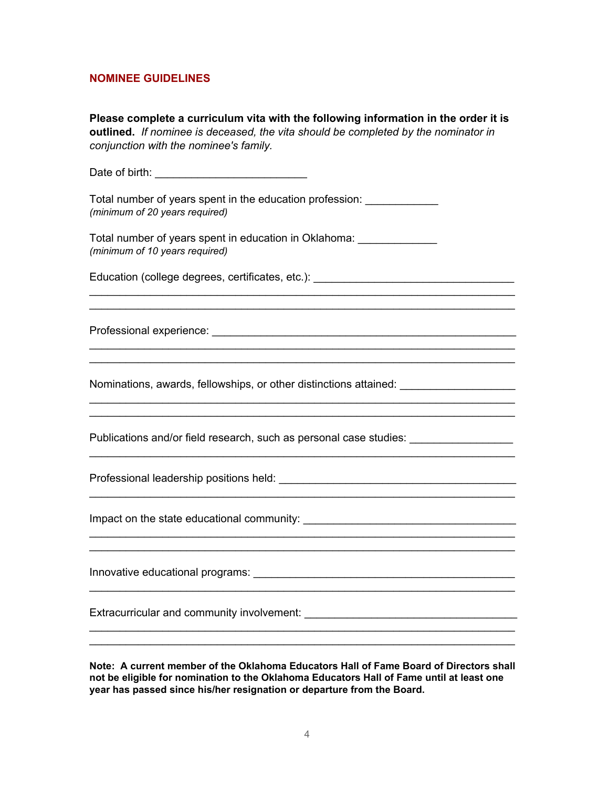# **NOMINEE GUIDELINES**

| Please complete a curriculum vita with the following information in the order it is<br>outlined. If nominee is deceased, the vita should be completed by the nominator in<br>conjunction with the nominee's family.                                           |  |
|---------------------------------------------------------------------------------------------------------------------------------------------------------------------------------------------------------------------------------------------------------------|--|
|                                                                                                                                                                                                                                                               |  |
| Total number of years spent in the education profession: ______________<br>(minimum of 20 years required)                                                                                                                                                     |  |
| Total number of years spent in education in Oklahoma: ______________<br>(minimum of 10 years required)                                                                                                                                                        |  |
| Education (college degrees, certificates, etc.): _______________________________                                                                                                                                                                              |  |
|                                                                                                                                                                                                                                                               |  |
|                                                                                                                                                                                                                                                               |  |
|                                                                                                                                                                                                                                                               |  |
| Nominations, awards, fellowships, or other distinctions attained: _______________                                                                                                                                                                             |  |
|                                                                                                                                                                                                                                                               |  |
| Publications and/or field research, such as personal case studies: ______________                                                                                                                                                                             |  |
|                                                                                                                                                                                                                                                               |  |
|                                                                                                                                                                                                                                                               |  |
|                                                                                                                                                                                                                                                               |  |
|                                                                                                                                                                                                                                                               |  |
| Note:  A current member of the Oklahoma Educators Hall of Fame Board of Directors shall<br>not be eligible for nomination to the Oklahoma Educators Hall of Fame until at least one<br>year has passed since his/her resignation or departure from the Board. |  |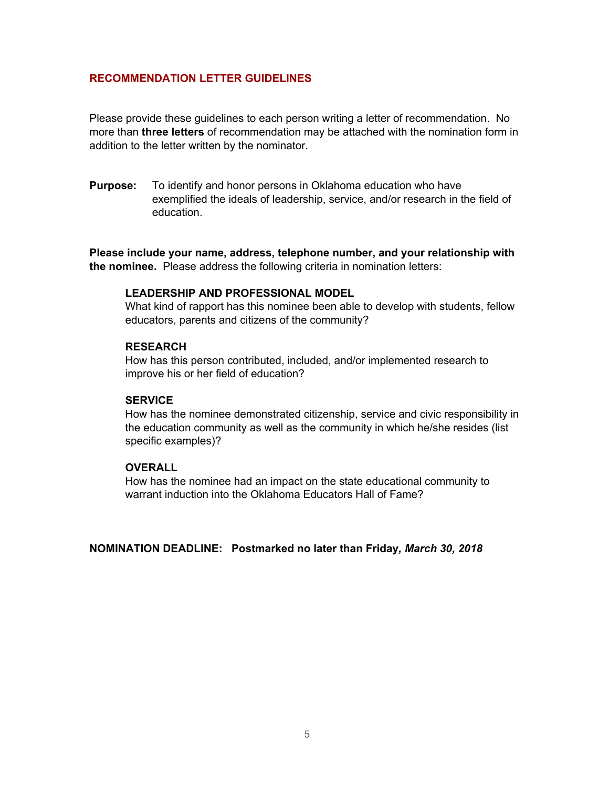#### **RECOMMENDATION LETTER GUIDELINES**

Please provide these guidelines to each person writing a letter of recommendation. No more than **three letters** of recommendation may be attached with the nomination form in addition to the letter written by the nominator.

**Purpose:** To identify and honor persons in Oklahoma education who have exemplified the ideals of leadership, service, and/or research in the field of education.

**Please include your name, address, telephone number, and your relationship with the nominee.** Please address the following criteria in nomination letters:

#### **LEADERSHIP AND PROFESSIONAL MODEL**

What kind of rapport has this nominee been able to develop with students, fellow educators, parents and citizens of the community?

#### **RESEARCH**

How has this person contributed, included, and/or implemented research to improve his or her field of education?

#### **SERVICE**

How has the nominee demonstrated citizenship, service and civic responsibility in the education community as well as the community in which he/she resides (list specific examples)?

### **OVERALL**

How has the nominee had an impact on the state educational community to warrant induction into the Oklahoma Educators Hall of Fame?

**NOMINATION DEADLINE: Postmarked no later than Friday***, March 30, 2018*